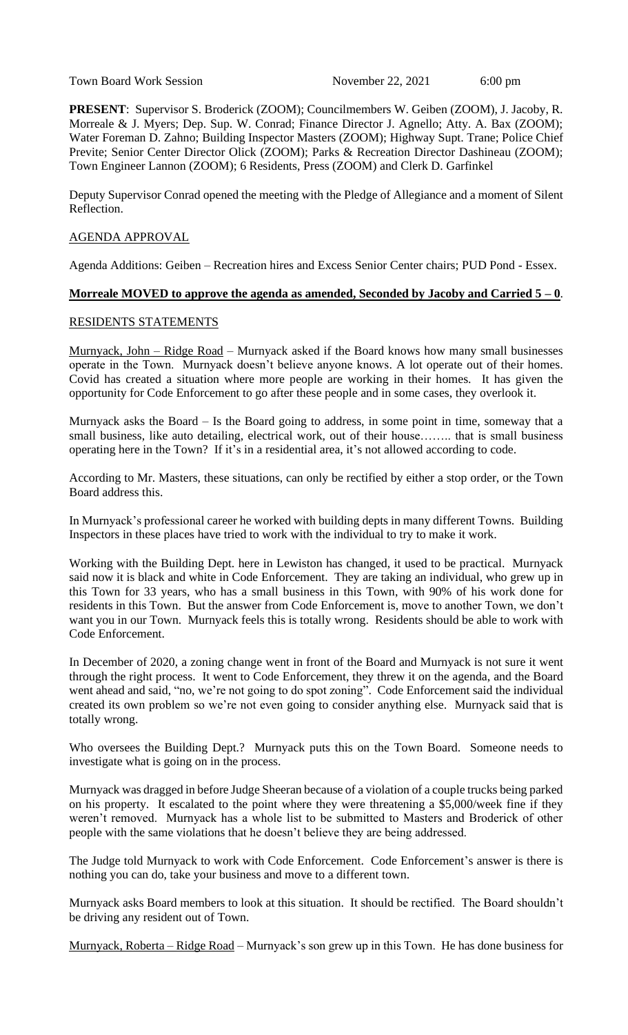Town Board Work Session November 22, 2021 6:00 pm

**PRESENT**: Supervisor S. Broderick (ZOOM); Councilmembers W. Geiben (ZOOM), J. Jacoby, R. Morreale & J. Myers; Dep. Sup. W. Conrad; Finance Director J. Agnello; Atty. A. Bax (ZOOM); Water Foreman D. Zahno; Building Inspector Masters (ZOOM); Highway Supt. Trane; Police Chief Previte; Senior Center Director Olick (ZOOM); Parks & Recreation Director Dashineau (ZOOM); Town Engineer Lannon (ZOOM); 6 Residents, Press (ZOOM) and Clerk D. Garfinkel

Deputy Supervisor Conrad opened the meeting with the Pledge of Allegiance and a moment of Silent Reflection.

### AGENDA APPROVAL

Agenda Additions: Geiben – Recreation hires and Excess Senior Center chairs; PUD Pond - Essex.

#### **Morreale MOVED to approve the agenda as amended, Seconded by Jacoby and Carried 5 – 0**.

## RESIDENTS STATEMENTS

Murnyack, John – Ridge Road – Murnyack asked if the Board knows how many small businesses operate in the Town. Murnyack doesn't believe anyone knows. A lot operate out of their homes. Covid has created a situation where more people are working in their homes. It has given the opportunity for Code Enforcement to go after these people and in some cases, they overlook it.

Murnyack asks the Board – Is the Board going to address, in some point in time, someway that a small business, like auto detailing, electrical work, out of their house........ that is small business operating here in the Town? If it's in a residential area, it's not allowed according to code.

According to Mr. Masters, these situations, can only be rectified by either a stop order, or the Town Board address this.

In Murnyack's professional career he worked with building depts in many different Towns. Building Inspectors in these places have tried to work with the individual to try to make it work.

Working with the Building Dept. here in Lewiston has changed, it used to be practical. Murnyack said now it is black and white in Code Enforcement. They are taking an individual, who grew up in this Town for 33 years, who has a small business in this Town, with 90% of his work done for residents in this Town. But the answer from Code Enforcement is, move to another Town, we don't want you in our Town. Murnyack feels this is totally wrong. Residents should be able to work with Code Enforcement.

In December of 2020, a zoning change went in front of the Board and Murnyack is not sure it went through the right process. It went to Code Enforcement, they threw it on the agenda, and the Board went ahead and said, "no, we're not going to do spot zoning". Code Enforcement said the individual created its own problem so we're not even going to consider anything else. Murnyack said that is totally wrong.

Who oversees the Building Dept.? Murnyack puts this on the Town Board. Someone needs to investigate what is going on in the process.

Murnyack was dragged in before Judge Sheeran because of a violation of a couple trucks being parked on his property. It escalated to the point where they were threatening a \$5,000/week fine if they weren't removed. Murnyack has a whole list to be submitted to Masters and Broderick of other people with the same violations that he doesn't believe they are being addressed.

The Judge told Murnyack to work with Code Enforcement. Code Enforcement's answer is there is nothing you can do, take your business and move to a different town.

Murnyack asks Board members to look at this situation. It should be rectified. The Board shouldn't be driving any resident out of Town.

Murnyack, Roberta – Ridge Road – Murnyack's son grew up in this Town. He has done business for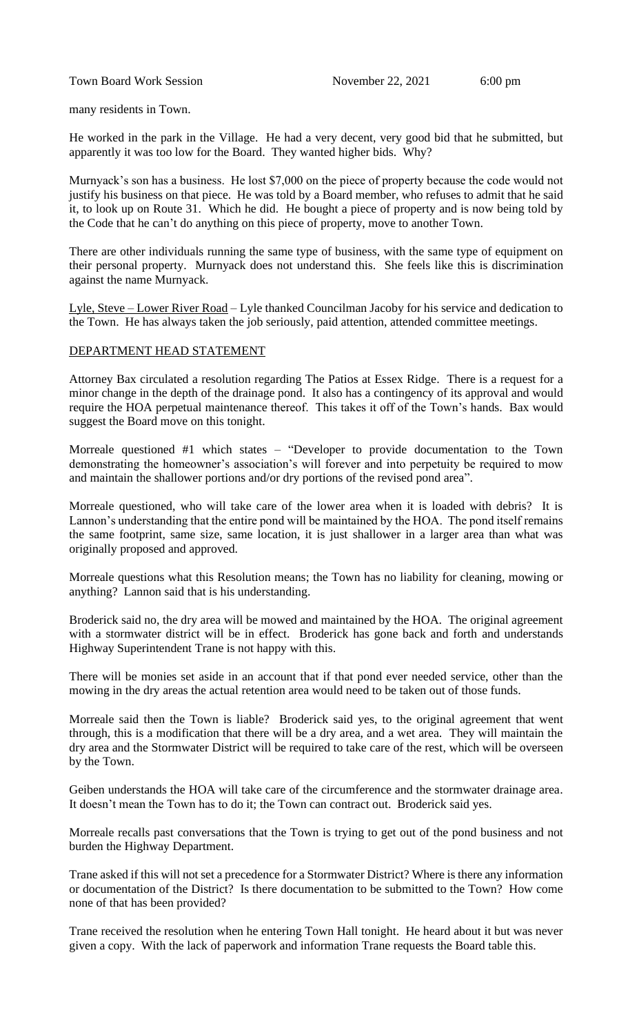many residents in Town.

He worked in the park in the Village. He had a very decent, very good bid that he submitted, but apparently it was too low for the Board. They wanted higher bids. Why?

Murnyack's son has a business. He lost \$7,000 on the piece of property because the code would not justify his business on that piece. He was told by a Board member, who refuses to admit that he said it, to look up on Route 31. Which he did. He bought a piece of property and is now being told by the Code that he can't do anything on this piece of property, move to another Town.

There are other individuals running the same type of business, with the same type of equipment on their personal property. Murnyack does not understand this. She feels like this is discrimination against the name Murnyack.

Lyle, Steve – Lower River Road – Lyle thanked Councilman Jacoby for his service and dedication to the Town. He has always taken the job seriously, paid attention, attended committee meetings.

#### DEPARTMENT HEAD STATEMENT

Attorney Bax circulated a resolution regarding The Patios at Essex Ridge. There is a request for a minor change in the depth of the drainage pond. It also has a contingency of its approval and would require the HOA perpetual maintenance thereof. This takes it off of the Town's hands. Bax would suggest the Board move on this tonight.

Morreale questioned #1 which states – "Developer to provide documentation to the Town demonstrating the homeowner's association's will forever and into perpetuity be required to mow and maintain the shallower portions and/or dry portions of the revised pond area".

Morreale questioned, who will take care of the lower area when it is loaded with debris? It is Lannon's understanding that the entire pond will be maintained by the HOA. The pond itself remains the same footprint, same size, same location, it is just shallower in a larger area than what was originally proposed and approved.

Morreale questions what this Resolution means; the Town has no liability for cleaning, mowing or anything? Lannon said that is his understanding.

Broderick said no, the dry area will be mowed and maintained by the HOA. The original agreement with a stormwater district will be in effect. Broderick has gone back and forth and understands Highway Superintendent Trane is not happy with this.

There will be monies set aside in an account that if that pond ever needed service, other than the mowing in the dry areas the actual retention area would need to be taken out of those funds.

Morreale said then the Town is liable? Broderick said yes, to the original agreement that went through, this is a modification that there will be a dry area, and a wet area. They will maintain the dry area and the Stormwater District will be required to take care of the rest, which will be overseen by the Town.

Geiben understands the HOA will take care of the circumference and the stormwater drainage area. It doesn't mean the Town has to do it; the Town can contract out. Broderick said yes.

Morreale recalls past conversations that the Town is trying to get out of the pond business and not burden the Highway Department.

Trane asked if this will not set a precedence for a Stormwater District? Where is there any information or documentation of the District? Is there documentation to be submitted to the Town? How come none of that has been provided?

Trane received the resolution when he entering Town Hall tonight. He heard about it but was never given a copy. With the lack of paperwork and information Trane requests the Board table this.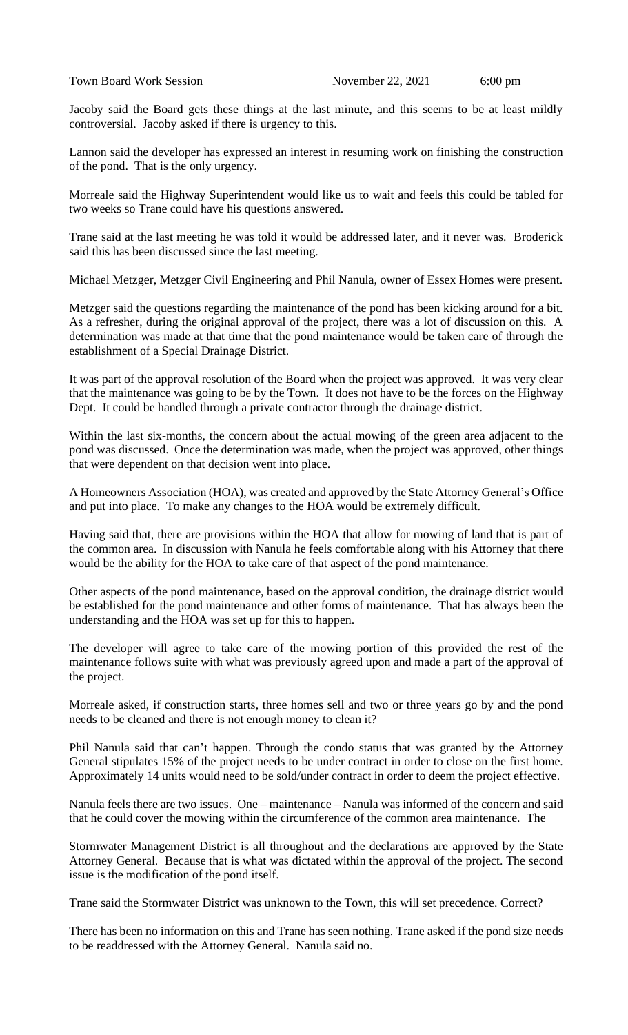Jacoby said the Board gets these things at the last minute, and this seems to be at least mildly controversial. Jacoby asked if there is urgency to this.

Lannon said the developer has expressed an interest in resuming work on finishing the construction of the pond. That is the only urgency.

Morreale said the Highway Superintendent would like us to wait and feels this could be tabled for two weeks so Trane could have his questions answered.

Trane said at the last meeting he was told it would be addressed later, and it never was. Broderick said this has been discussed since the last meeting.

Michael Metzger, Metzger Civil Engineering and Phil Nanula, owner of Essex Homes were present.

Metzger said the questions regarding the maintenance of the pond has been kicking around for a bit. As a refresher, during the original approval of the project, there was a lot of discussion on this. A determination was made at that time that the pond maintenance would be taken care of through the establishment of a Special Drainage District.

It was part of the approval resolution of the Board when the project was approved. It was very clear that the maintenance was going to be by the Town. It does not have to be the forces on the Highway Dept. It could be handled through a private contractor through the drainage district.

Within the last six-months, the concern about the actual mowing of the green area adjacent to the pond was discussed. Once the determination was made, when the project was approved, other things that were dependent on that decision went into place.

A Homeowners Association (HOA), was created and approved by the State Attorney General's Office and put into place. To make any changes to the HOA would be extremely difficult.

Having said that, there are provisions within the HOA that allow for mowing of land that is part of the common area. In discussion with Nanula he feels comfortable along with his Attorney that there would be the ability for the HOA to take care of that aspect of the pond maintenance.

Other aspects of the pond maintenance, based on the approval condition, the drainage district would be established for the pond maintenance and other forms of maintenance. That has always been the understanding and the HOA was set up for this to happen.

The developer will agree to take care of the mowing portion of this provided the rest of the maintenance follows suite with what was previously agreed upon and made a part of the approval of the project.

Morreale asked, if construction starts, three homes sell and two or three years go by and the pond needs to be cleaned and there is not enough money to clean it?

Phil Nanula said that can't happen. Through the condo status that was granted by the Attorney General stipulates 15% of the project needs to be under contract in order to close on the first home. Approximately 14 units would need to be sold/under contract in order to deem the project effective.

Nanula feels there are two issues. One – maintenance – Nanula was informed of the concern and said that he could cover the mowing within the circumference of the common area maintenance. The

Stormwater Management District is all throughout and the declarations are approved by the State Attorney General. Because that is what was dictated within the approval of the project. The second issue is the modification of the pond itself.

Trane said the Stormwater District was unknown to the Town, this will set precedence. Correct?

There has been no information on this and Trane has seen nothing. Trane asked if the pond size needs to be readdressed with the Attorney General. Nanula said no.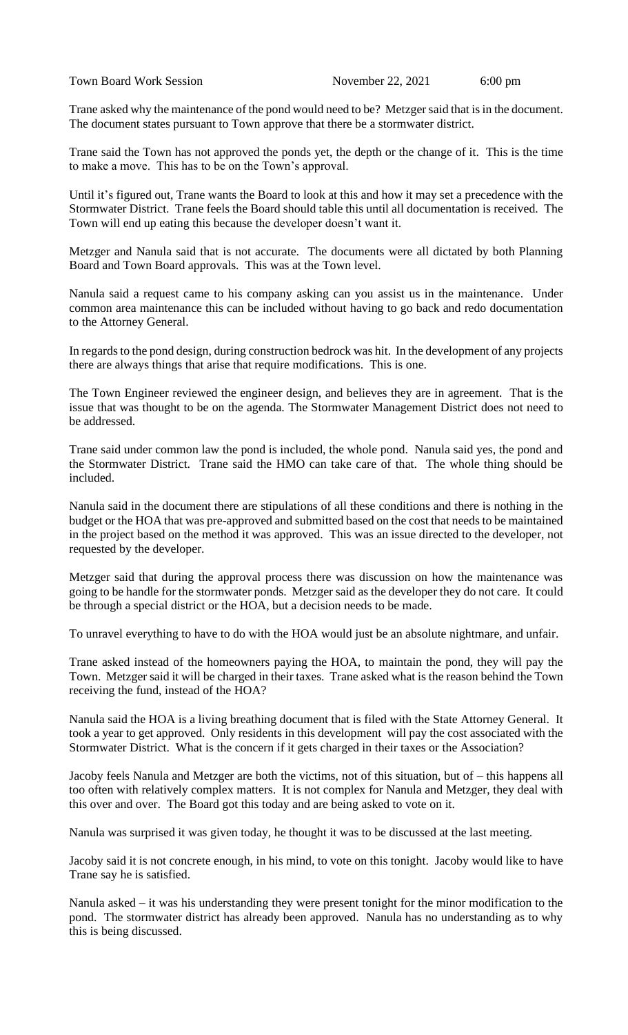Town Board Work Session November 22, 2021 6:00 pm

Trane asked why the maintenance of the pond would need to be? Metzger said that is in the document. The document states pursuant to Town approve that there be a stormwater district.

Trane said the Town has not approved the ponds yet, the depth or the change of it. This is the time to make a move. This has to be on the Town's approval.

Until it's figured out, Trane wants the Board to look at this and how it may set a precedence with the Stormwater District. Trane feels the Board should table this until all documentation is received. The Town will end up eating this because the developer doesn't want it.

Metzger and Nanula said that is not accurate. The documents were all dictated by both Planning Board and Town Board approvals. This was at the Town level.

Nanula said a request came to his company asking can you assist us in the maintenance. Under common area maintenance this can be included without having to go back and redo documentation to the Attorney General.

In regards to the pond design, during construction bedrock was hit. In the development of any projects there are always things that arise that require modifications. This is one.

The Town Engineer reviewed the engineer design, and believes they are in agreement. That is the issue that was thought to be on the agenda. The Stormwater Management District does not need to be addressed.

Trane said under common law the pond is included, the whole pond. Nanula said yes, the pond and the Stormwater District. Trane said the HMO can take care of that. The whole thing should be included.

Nanula said in the document there are stipulations of all these conditions and there is nothing in the budget or the HOA that was pre-approved and submitted based on the cost that needs to be maintained in the project based on the method it was approved. This was an issue directed to the developer, not requested by the developer.

Metzger said that during the approval process there was discussion on how the maintenance was going to be handle for the stormwater ponds. Metzger said as the developer they do not care. It could be through a special district or the HOA, but a decision needs to be made.

To unravel everything to have to do with the HOA would just be an absolute nightmare, and unfair.

Trane asked instead of the homeowners paying the HOA, to maintain the pond, they will pay the Town. Metzger said it will be charged in their taxes. Trane asked what is the reason behind the Town receiving the fund, instead of the HOA?

Nanula said the HOA is a living breathing document that is filed with the State Attorney General. It took a year to get approved. Only residents in this development will pay the cost associated with the Stormwater District. What is the concern if it gets charged in their taxes or the Association?

Jacoby feels Nanula and Metzger are both the victims, not of this situation, but of – this happens all too often with relatively complex matters. It is not complex for Nanula and Metzger, they deal with this over and over. The Board got this today and are being asked to vote on it.

Nanula was surprised it was given today, he thought it was to be discussed at the last meeting.

Jacoby said it is not concrete enough, in his mind, to vote on this tonight. Jacoby would like to have Trane say he is satisfied.

Nanula asked – it was his understanding they were present tonight for the minor modification to the pond. The stormwater district has already been approved. Nanula has no understanding as to why this is being discussed.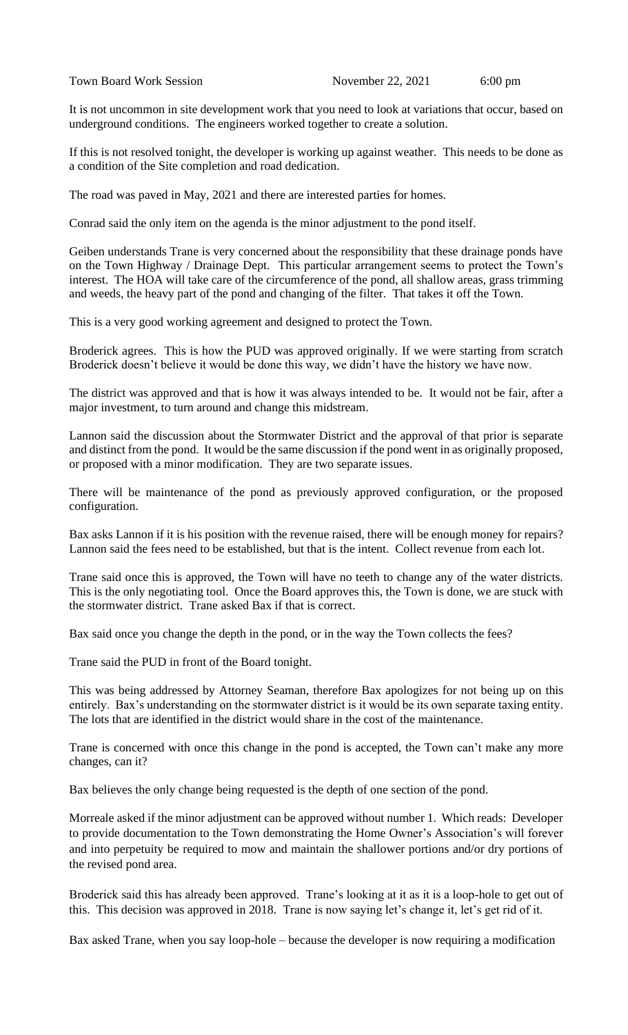It is not uncommon in site development work that you need to look at variations that occur, based on underground conditions. The engineers worked together to create a solution.

If this is not resolved tonight, the developer is working up against weather. This needs to be done as a condition of the Site completion and road dedication.

The road was paved in May, 2021 and there are interested parties for homes.

Conrad said the only item on the agenda is the minor adjustment to the pond itself.

Geiben understands Trane is very concerned about the responsibility that these drainage ponds have on the Town Highway / Drainage Dept. This particular arrangement seems to protect the Town's interest. The HOA will take care of the circumference of the pond, all shallow areas, grass trimming and weeds, the heavy part of the pond and changing of the filter. That takes it off the Town.

This is a very good working agreement and designed to protect the Town.

Broderick agrees. This is how the PUD was approved originally. If we were starting from scratch Broderick doesn't believe it would be done this way, we didn't have the history we have now.

The district was approved and that is how it was always intended to be. It would not be fair, after a major investment, to turn around and change this midstream.

Lannon said the discussion about the Stormwater District and the approval of that prior is separate and distinct from the pond. It would be the same discussion if the pond went in as originally proposed, or proposed with a minor modification. They are two separate issues.

There will be maintenance of the pond as previously approved configuration, or the proposed configuration.

Bax asks Lannon if it is his position with the revenue raised, there will be enough money for repairs? Lannon said the fees need to be established, but that is the intent. Collect revenue from each lot.

Trane said once this is approved, the Town will have no teeth to change any of the water districts. This is the only negotiating tool. Once the Board approves this, the Town is done, we are stuck with the stormwater district. Trane asked Bax if that is correct.

Bax said once you change the depth in the pond, or in the way the Town collects the fees?

Trane said the PUD in front of the Board tonight.

This was being addressed by Attorney Seaman, therefore Bax apologizes for not being up on this entirely. Bax's understanding on the stormwater district is it would be its own separate taxing entity. The lots that are identified in the district would share in the cost of the maintenance.

Trane is concerned with once this change in the pond is accepted, the Town can't make any more changes, can it?

Bax believes the only change being requested is the depth of one section of the pond.

Morreale asked if the minor adjustment can be approved without number 1. Which reads: Developer to provide documentation to the Town demonstrating the Home Owner's Association's will forever and into perpetuity be required to mow and maintain the shallower portions and/or dry portions of the revised pond area.

Broderick said this has already been approved. Trane's looking at it as it is a loop-hole to get out of this. This decision was approved in 2018. Trane is now saying let's change it, let's get rid of it.

Bax asked Trane, when you say loop-hole – because the developer is now requiring a modification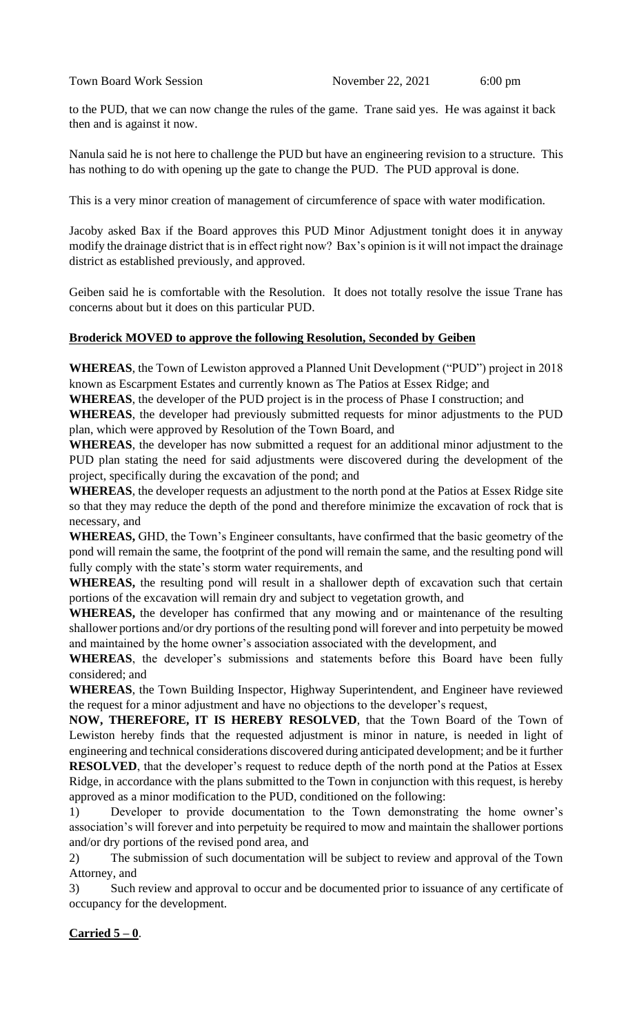to the PUD, that we can now change the rules of the game. Trane said yes. He was against it back then and is against it now.

Nanula said he is not here to challenge the PUD but have an engineering revision to a structure. This has nothing to do with opening up the gate to change the PUD. The PUD approval is done.

This is a very minor creation of management of circumference of space with water modification.

Jacoby asked Bax if the Board approves this PUD Minor Adjustment tonight does it in anyway modify the drainage district that is in effect right now? Bax's opinion is it will not impact the drainage district as established previously, and approved.

Geiben said he is comfortable with the Resolution. It does not totally resolve the issue Trane has concerns about but it does on this particular PUD.

# **Broderick MOVED to approve the following Resolution, Seconded by Geiben**

**WHEREAS**, the Town of Lewiston approved a Planned Unit Development ("PUD") project in 2018 known as Escarpment Estates and currently known as The Patios at Essex Ridge; and

**WHEREAS**, the developer of the PUD project is in the process of Phase I construction; and

**WHEREAS**, the developer had previously submitted requests for minor adjustments to the PUD plan, which were approved by Resolution of the Town Board, and

**WHEREAS**, the developer has now submitted a request for an additional minor adjustment to the PUD plan stating the need for said adjustments were discovered during the development of the project, specifically during the excavation of the pond; and

**WHEREAS**, the developer requests an adjustment to the north pond at the Patios at Essex Ridge site so that they may reduce the depth of the pond and therefore minimize the excavation of rock that is necessary, and

**WHEREAS,** GHD, the Town's Engineer consultants, have confirmed that the basic geometry of the pond will remain the same, the footprint of the pond will remain the same, and the resulting pond will fully comply with the state's storm water requirements, and

**WHEREAS,** the resulting pond will result in a shallower depth of excavation such that certain portions of the excavation will remain dry and subject to vegetation growth, and

**WHEREAS,** the developer has confirmed that any mowing and or maintenance of the resulting shallower portions and/or dry portions of the resulting pond will forever and into perpetuity be mowed and maintained by the home owner's association associated with the development, and

**WHEREAS**, the developer's submissions and statements before this Board have been fully considered; and

**WHEREAS**, the Town Building Inspector, Highway Superintendent, and Engineer have reviewed the request for a minor adjustment and have no objections to the developer's request,

**NOW, THEREFORE, IT IS HEREBY RESOLVED**, that the Town Board of the Town of Lewiston hereby finds that the requested adjustment is minor in nature, is needed in light of engineering and technical considerations discovered during anticipated development; and be it further **RESOLVED**, that the developer's request to reduce depth of the north pond at the Patios at Essex Ridge, in accordance with the plans submitted to the Town in conjunction with this request, is hereby approved as a minor modification to the PUD, conditioned on the following:

1) Developer to provide documentation to the Town demonstrating the home owner's association's will forever and into perpetuity be required to mow and maintain the shallower portions and/or dry portions of the revised pond area, and

2) The submission of such documentation will be subject to review and approval of the Town Attorney, and

3) Such review and approval to occur and be documented prior to issuance of any certificate of occupancy for the development.

# **Carried 5 – 0**.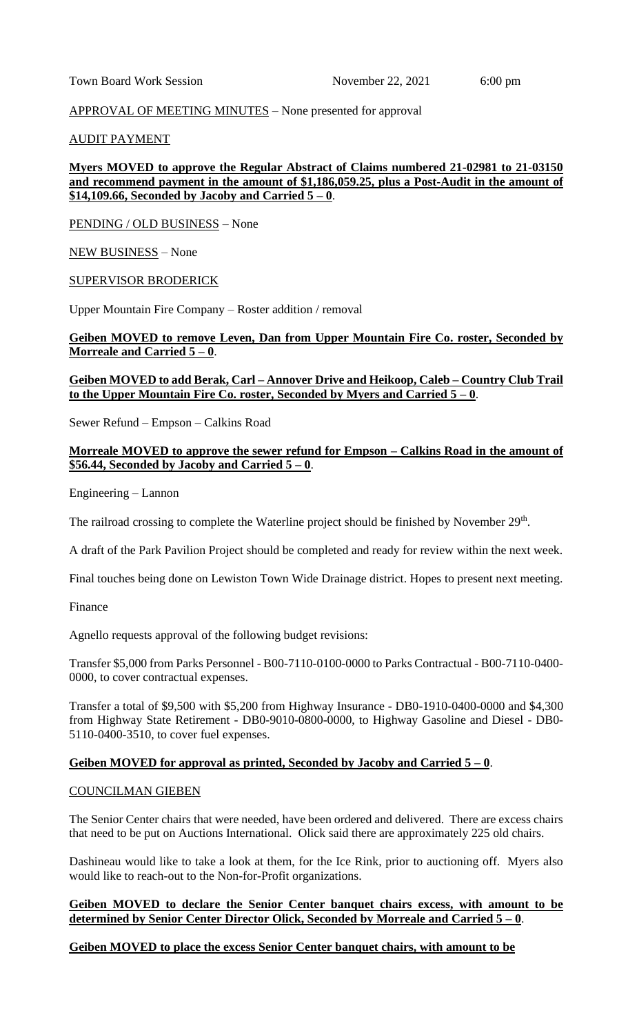#### APPROVAL OF MEETING MINUTES – None presented for approval

#### AUDIT PAYMENT

## **Myers MOVED to approve the Regular Abstract of Claims numbered 21-02981 to 21-03150 and recommend payment in the amount of \$1,186,059.25, plus a Post-Audit in the amount of \$14,109.66, Seconded by Jacoby and Carried 5 – 0**.

PENDING / OLD BUSINESS – None

#### NEW BUSINESS – None

#### SUPERVISOR BRODERICK

Upper Mountain Fire Company – Roster addition / removal

### **Geiben MOVED to remove Leven, Dan from Upper Mountain Fire Co. roster, Seconded by Morreale and Carried 5 – 0**.

#### **Geiben MOVED to add Berak, Carl – Annover Drive and Heikoop, Caleb – Country Club Trail to the Upper Mountain Fire Co. roster, Seconded by Myers and Carried 5 – 0**.

Sewer Refund – Empson – Calkins Road

#### **Morreale MOVED to approve the sewer refund for Empson – Calkins Road in the amount of**   $$56.44$ , Seconded by Jacoby and Carried  $5 - 0$ .

Engineering – Lannon

The railroad crossing to complete the Waterline project should be finished by November  $29<sup>th</sup>$ .

A draft of the Park Pavilion Project should be completed and ready for review within the next week.

Final touches being done on Lewiston Town Wide Drainage district. Hopes to present next meeting.

Finance

Agnello requests approval of the following budget revisions:

Transfer \$5,000 from Parks Personnel - B00-7110-0100-0000 to Parks Contractual - B00-7110-0400- 0000, to cover contractual expenses.

Transfer a total of \$9,500 with \$5,200 from Highway Insurance - DB0-1910-0400-0000 and \$4,300 from Highway State Retirement - DB0-9010-0800-0000, to Highway Gasoline and Diesel - DB0- 5110-0400-3510, to cover fuel expenses.

#### **Geiben MOVED for approval as printed, Seconded by Jacoby and Carried 5 – 0**.

#### COUNCILMAN GIEBEN

The Senior Center chairs that were needed, have been ordered and delivered. There are excess chairs that need to be put on Auctions International. Olick said there are approximately 225 old chairs.

Dashineau would like to take a look at them, for the Ice Rink, prior to auctioning off. Myers also would like to reach-out to the Non-for-Profit organizations.

#### **Geiben MOVED to declare the Senior Center banquet chairs excess, with amount to be determined by Senior Center Director Olick, Seconded by Morreale and Carried 5 – 0**.

#### **Geiben MOVED to place the excess Senior Center banquet chairs, with amount to be**